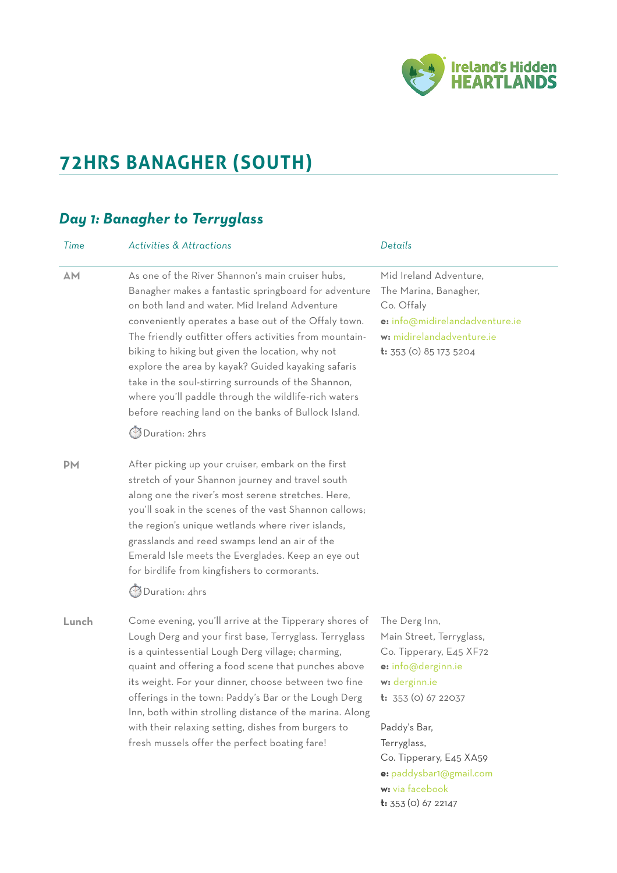

# **72HRS BANAGHER (SOUTH)**

## *Day 1: Banagher to Terryglass*

| Time      | <b>Activities &amp; Attractions</b>                                                                                                                                                                                                                                                                                                                                                                                                                                                                                                                                                    | Details                                                                                                                                                                                                                                           |
|-----------|----------------------------------------------------------------------------------------------------------------------------------------------------------------------------------------------------------------------------------------------------------------------------------------------------------------------------------------------------------------------------------------------------------------------------------------------------------------------------------------------------------------------------------------------------------------------------------------|---------------------------------------------------------------------------------------------------------------------------------------------------------------------------------------------------------------------------------------------------|
| AM        | As one of the River Shannon's main cruiser hubs.<br>Banagher makes a fantastic springboard for adventure<br>on both land and water. Mid Ireland Adventure<br>conveniently operates a base out of the Offaly town.<br>The friendly outfitter offers activities from mountain-<br>biking to hiking but given the location, why not<br>explore the area by kayak? Guided kayaking safaris<br>take in the soul-stirring surrounds of the Shannon,<br>where you'll paddle through the wildlife-rich waters<br>before reaching land on the banks of Bullock Island.<br><b>Duration: 2hrs</b> | Mid Ireland Adventure,<br>The Marina, Banagher,<br>Co. Offaly<br>e: info@midirelandadventure.ie<br>w: midirelandadventure.ie<br>t: 353 (0) 85 173 5204                                                                                            |
| <b>PM</b> | After picking up your cruiser, embark on the first<br>stretch of your Shannon journey and travel south<br>along one the river's most serene stretches. Here,<br>you'll soak in the scenes of the vast Shannon callows;<br>the region's unique wetlands where river islands,<br>grasslands and reed swamps lend an air of the<br>Emerald Isle meets the Everglades. Keep an eye out<br>for birdlife from kingfishers to cormorants.<br>Duration: 4hrs                                                                                                                                   |                                                                                                                                                                                                                                                   |
| Lunch     | Come evening, you'll arrive at the Tipperary shores of<br>Lough Derg and your first base, Terryglass. Terryglass<br>is a quintessential Lough Derg village; charming,<br>quaint and offering a food scene that punches above<br>its weight. For your dinner, choose between two fine<br>offerings in the town: Paddy's Bar or the Lough Derg<br>Inn, both within strolling distance of the marina. Along<br>with their relaxing setting, dishes from burgers to<br>fresh mussels offer the perfect boating fare!                                                                       | The Derg Inn,<br>Main Street, Terryglass,<br>Co. Tipperary, E45 XF72<br>e: info@derginn.ie<br>w: derginn.ie<br><b>t:</b> 353 (0) 67 22037<br>Paddy's Bar,<br>Terryglass,<br>Co. Tipperary, E45 XA59<br>e: paddysbar1@gmail.com<br>w: via facebook |

**t:** 353 (0) 67 22147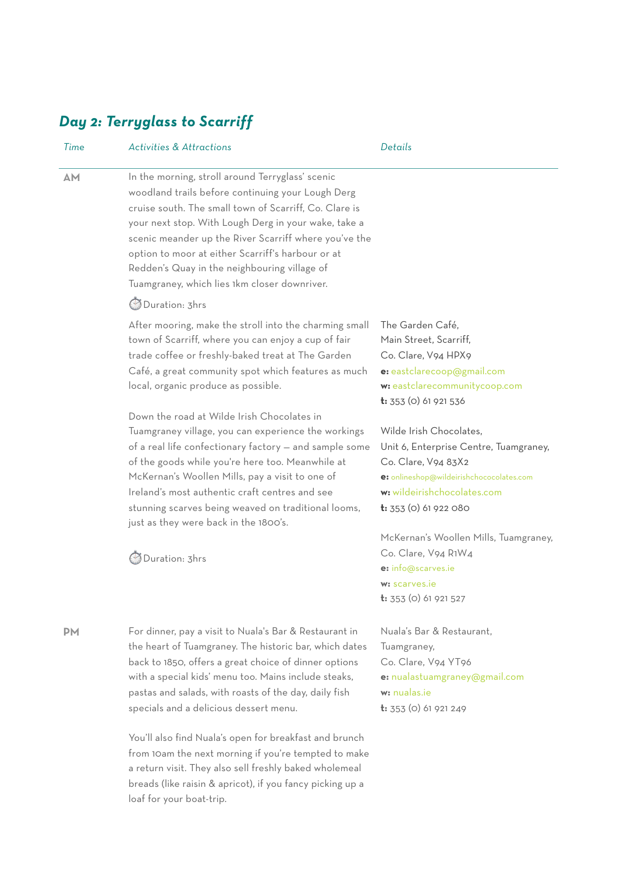# *Day 2: Terryglass to Scarriff*

| Time      | <b>Activities &amp; Attractions</b>                                                                                                                                                                                                                                                                                                                                                                                                                            | Details                                                                                                                                                                                        |
|-----------|----------------------------------------------------------------------------------------------------------------------------------------------------------------------------------------------------------------------------------------------------------------------------------------------------------------------------------------------------------------------------------------------------------------------------------------------------------------|------------------------------------------------------------------------------------------------------------------------------------------------------------------------------------------------|
| <b>AM</b> | In the morning, stroll around Terryglass' scenic<br>woodland trails before continuing your Lough Derg<br>cruise south. The small town of Scarriff, Co. Clare is<br>your next stop. With Lough Derg in your wake, take a<br>scenic meander up the River Scarriff where you've the<br>option to moor at either Scarriff's harbour or at<br>Redden's Quay in the neighbouring village of<br>Tuamgraney, which lies 1km closer downriver.<br><b>Duration: 3hrs</b> |                                                                                                                                                                                                |
|           | After mooring, make the stroll into the charming small<br>town of Scarriff, where you can enjoy a cup of fair<br>trade coffee or freshly-baked treat at The Garden<br>Café, a great community spot which features as much<br>local, organic produce as possible.                                                                                                                                                                                               | The Garden Café,<br>Main Street, Scarriff,<br>Co. Clare, V94 HPX9<br>e: eastclarecoop@gmail.com<br>w: eastclarecommunitycoop.com<br>$t: 353$ (0) 61 921 536                                    |
|           | Down the road at Wilde Irish Chocolates in<br>Tuamgraney village, you can experience the workings<br>of a real life confectionary factory - and sample some<br>of the goods while you're here too. Meanwhile at<br>McKernan's Woollen Mills, pay a visit to one of<br>Ireland's most authentic craft centres and see<br>stunning scarves being weaved on traditional looms,<br>just as they were back in the 1800's.                                           | Wilde Irish Chocolates,<br>Unit 6, Enterprise Centre, Tuamgraney,<br>Co. Clare, V94 83X2<br>e: onlineshop@wildeirishchococolates.com<br>w: wildeirishchocolates.com<br>$t: 353$ (0) 61 922 080 |
|           | Duration: 3hrs                                                                                                                                                                                                                                                                                                                                                                                                                                                 | McKernan's Woollen Mills, Tuamgraney,<br>Co. Clare, V94 R1W4<br>e: info@scarves.ie<br>w: scarves.ie<br><b>t:</b> 353 (0) 61 921 527                                                            |
| <b>PM</b> | For dinner, pay a visit to Nuala's Bar & Restaurant in<br>the heart of Tuamgraney. The historic bar, which dates<br>back to 1850, offers a great choice of dinner options<br>with a special kids' menu too. Mains include steaks,<br>pastas and salads, with roasts of the day, daily fish<br>specials and a delicious dessert menu.                                                                                                                           | Nuala's Bar & Restaurant,<br>Tuamgraney,<br>Co. Clare, V94 YT96<br>e: nualastuamgraney@gmail.com<br>w: nualas.ie<br>t: 353 (0) 61 921 249                                                      |
|           | You'll also find Nuala's open for breakfast and brunch<br>from 10am the next morning if you're tempted to make                                                                                                                                                                                                                                                                                                                                                 |                                                                                                                                                                                                |

a return visit. They also sell freshly baked wholemeal breads (like raisin & apricot), if you fancy picking up a loaf for your boat-trip.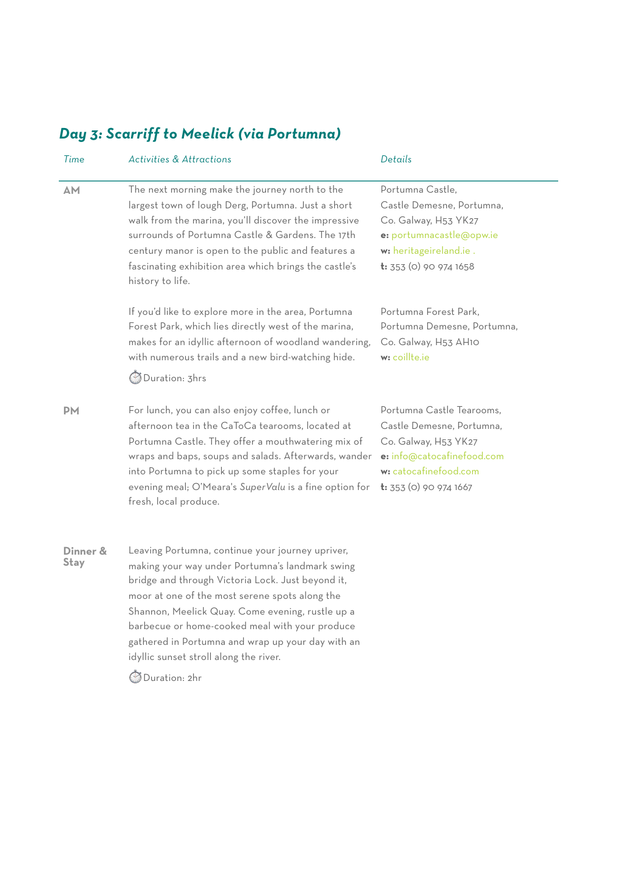# *Day 3: Scarriff to Meelick (via Portumna)*

| Time                    | <b>Activities &amp; Attractions</b>                                                                                                                                                                                                                                                                                                                                                                                              | Details                                                                                                                                                         |
|-------------------------|----------------------------------------------------------------------------------------------------------------------------------------------------------------------------------------------------------------------------------------------------------------------------------------------------------------------------------------------------------------------------------------------------------------------------------|-----------------------------------------------------------------------------------------------------------------------------------------------------------------|
| AM                      | The next morning make the journey north to the<br>largest town of lough Derg, Portumna. Just a short<br>walk from the marina, you'll discover the impressive<br>surrounds of Portumna Castle & Gardens. The 17th<br>century manor is open to the public and features a<br>fascinating exhibition area which brings the castle's<br>history to life.                                                                              | Portumna Castle,<br>Castle Demesne, Portumna,<br>Co. Galway, H53 YK27<br>e: portumnacastle@opw.ie<br>w: heritageireland.ie.<br>t: 353 (0) 90 974 1658           |
|                         | If you'd like to explore more in the area, Portumna<br>Forest Park, which lies directly west of the marina,<br>makes for an idyllic afternoon of woodland wandering,<br>with numerous trails and a new bird-watching hide.<br><b>Duration: 3hrs</b>                                                                                                                                                                              | Portumna Forest Park,<br>Portumna Demesne, Portumna,<br>Co. Galway, H53 AH10<br>w: coillte.ie                                                                   |
| <b>DM</b>               | For lunch, you can also enjoy coffee, lunch or<br>afternoon tea in the CaToCa tearooms, located at<br>Portumna Castle. They offer a mouthwatering mix of<br>wraps and baps, soups and salads. Afterwards, wander<br>into Portumna to pick up some staples for your<br>evening meal; O'Meara's SuperValu is a fine option for<br>fresh, local produce.                                                                            | Portumna Castle Tearooms.<br>Castle Demesne, Portumna,<br>Co. Galway, H53 YK27<br>e: info@catocafinefood.com<br>w: catocafinefood.com<br>t: 353 (0) 90 974 1667 |
| Dinner &<br><b>Stay</b> | Leaving Portumna, continue your journey upriver,<br>making your way under Portumna's landmark swing<br>bridge and through Victoria Lock. Just beyond it,<br>moor at one of the most serene spots along the<br>Shannon, Meelick Quay. Come evening, rustle up a<br>barbecue or home-cooked meal with your produce<br>gathered in Portumna and wrap up your day with an<br>idyllic sunset stroll along the river.<br>Duration: 2hr |                                                                                                                                                                 |